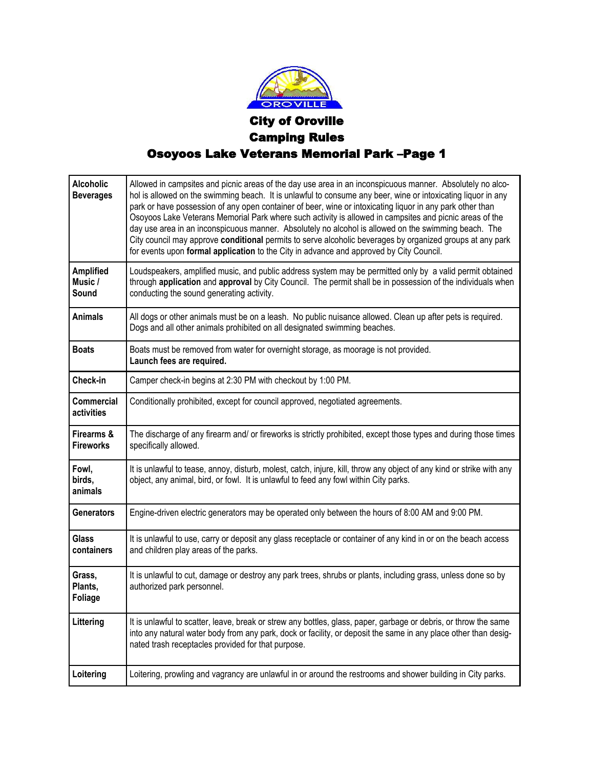

## City of Oroville Camping Rules Osoyoos Lake Veterans Memorial Park –Page 1

| <b>Alcoholic</b><br><b>Beverages</b> | Allowed in campsites and picnic areas of the day use area in an inconspicuous manner. Absolutely no alco-<br>hol is allowed on the swimming beach. It is unlawful to consume any beer, wine or intoxicating liquor in any<br>park or have possession of any open container of beer, wine or intoxicating liquor in any park other than<br>Osoyoos Lake Veterans Memorial Park where such activity is allowed in campsites and picnic areas of the<br>day use area in an inconspicuous manner. Absolutely no alcohol is allowed on the swimming beach. The<br>City council may approve conditional permits to serve alcoholic beverages by organized groups at any park<br>for events upon formal application to the City in advance and approved by City Council. |
|--------------------------------------|-------------------------------------------------------------------------------------------------------------------------------------------------------------------------------------------------------------------------------------------------------------------------------------------------------------------------------------------------------------------------------------------------------------------------------------------------------------------------------------------------------------------------------------------------------------------------------------------------------------------------------------------------------------------------------------------------------------------------------------------------------------------|
| <b>Amplified</b><br>Music /<br>Sound | Loudspeakers, amplified music, and public address system may be permitted only by a valid permit obtained<br>through application and approval by City Council. The permit shall be in possession of the individuals when<br>conducting the sound generating activity.                                                                                                                                                                                                                                                                                                                                                                                                                                                                                             |
| <b>Animals</b>                       | All dogs or other animals must be on a leash. No public nuisance allowed. Clean up after pets is required.<br>Dogs and all other animals prohibited on all designated swimming beaches.                                                                                                                                                                                                                                                                                                                                                                                                                                                                                                                                                                           |
| <b>Boats</b>                         | Boats must be removed from water for overnight storage, as moorage is not provided.<br>Launch fees are required.                                                                                                                                                                                                                                                                                                                                                                                                                                                                                                                                                                                                                                                  |
| Check-in                             | Camper check-in begins at 2:30 PM with checkout by 1:00 PM.                                                                                                                                                                                                                                                                                                                                                                                                                                                                                                                                                                                                                                                                                                       |
| <b>Commercial</b><br>activities      | Conditionally prohibited, except for council approved, negotiated agreements.                                                                                                                                                                                                                                                                                                                                                                                                                                                                                                                                                                                                                                                                                     |
| Firearms &<br><b>Fireworks</b>       | The discharge of any firearm and/ or fireworks is strictly prohibited, except those types and during those times<br>specifically allowed.                                                                                                                                                                                                                                                                                                                                                                                                                                                                                                                                                                                                                         |
| Fowl,<br>birds,<br>animals           | It is unlawful to tease, annoy, disturb, molest, catch, injure, kill, throw any object of any kind or strike with any<br>object, any animal, bird, or fowl. It is unlawful to feed any fowl within City parks.                                                                                                                                                                                                                                                                                                                                                                                                                                                                                                                                                    |
| <b>Generators</b>                    | Engine-driven electric generators may be operated only between the hours of 8:00 AM and 9:00 PM.                                                                                                                                                                                                                                                                                                                                                                                                                                                                                                                                                                                                                                                                  |
| Glass<br>containers                  | It is unlawful to use, carry or deposit any glass receptacle or container of any kind in or on the beach access<br>and children play areas of the parks.                                                                                                                                                                                                                                                                                                                                                                                                                                                                                                                                                                                                          |
| Grass,<br>Plants,<br><b>Foliage</b>  | It is unlawful to cut, damage or destroy any park trees, shrubs or plants, including grass, unless done so by<br>authorized park personnel.                                                                                                                                                                                                                                                                                                                                                                                                                                                                                                                                                                                                                       |
| Littering                            | It is unlawful to scatter, leave, break or strew any bottles, glass, paper, garbage or debris, or throw the same<br>into any natural water body from any park, dock or facility, or deposit the same in any place other than desig-<br>nated trash receptacles provided for that purpose.                                                                                                                                                                                                                                                                                                                                                                                                                                                                         |
| Loitering                            | Loitering, prowling and vagrancy are unlawful in or around the restrooms and shower building in City parks.                                                                                                                                                                                                                                                                                                                                                                                                                                                                                                                                                                                                                                                       |